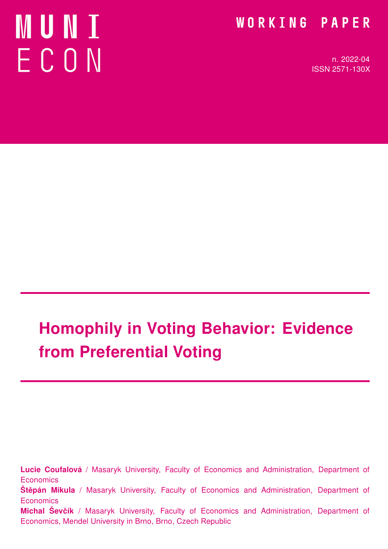# MUNT ECON

### WORKING PAPER

n. 2022-04 ISSN 2571-130X

# Homophily in Voting Behavior: Evidence from Preferential Voting

Lucie Coufalová / Masaryk University, Faculty of Economics and Administration, Department of **Economics Štěpán Mikula** / Masaryk University, Faculty of Economics and Administration, Department of **Economics** Michal Ševčík / Masaryk University, Faculty of Economics and Administration, Department of Economics, Mendel University in Brno, Brno, Czech Republic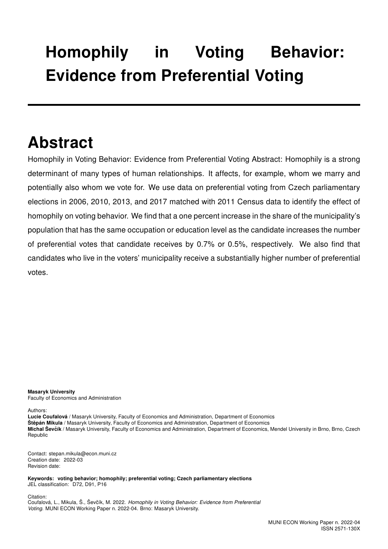# Homophily in Voting Behavior: Evidence from Preferential Voting

# Abstract

Homophily in Voting Behavior: Evidence from Preferential Voting Abstract: Homophily is a strong determinant of many types of human relationships. It affects, for example, whom we marry and potentially also whom we vote for. We use data on preferential voting from Czech parliamentary elections in 2006, 2010, 2013, and 2017 matched with 2011 Census data to identify the effect of homophily on voting behavior. We find that a one percent increase in the share of the municipality's population that has the same occupation or education level as the candidate increases the number of preferential votes that candidate receives by 0.7% or 0.5%, respectively. We also find that candidates who live in the voters' municipality receive a substantially higher number of preferential votes.

Masaryk University Faculty of Economics and Administration

Authors:

Lucie Coufalová / Masaryk University, Faculty of Economics and Administration, Department of Economics Štěpán Mikula / Masaryk University, Faculty of Economics and Administration, Department of Economics Michal Ševčík / Masaryk University, Faculty of Economics and Administration, Department of Economics, Mendel University in Brno, Brno, Czech Republic

Contact: stepan.mikula@econ.muni.cz Creation date: 2022-03 Revision date:

Keywords: voting behavior; homophily; preferential voting; Czech parliamentary elections JEL classification: D72, D91, P16

Citation: Coufalová, L., Mikula, Š., Ševčík, M. 2022. Homophily in Voting Behavior: Evidence from Preferential Voting. MUNI ECON Working Paper n. 2022-04. Brno: Masaryk University.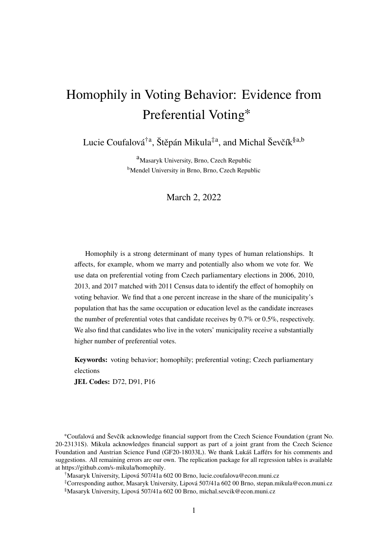## Homophily in Voting Behavior: Evidence from Preferential Voting<sup>∗</sup>

Lucie Coufalová<sup>†a</sup>, Štěpán Mikula<sup>‡a</sup>, and Michal Ševčík<sup>§a,b</sup>

<sup>a</sup>Masaryk University, Brno, Czech Republic <sup>b</sup>Mendel University in Brno, Brno, Czech Republic

March 2, 2022

Homophily is a strong determinant of many types of human relationships. It affects, for example, whom we marry and potentially also whom we vote for. We use data on preferential voting from Czech parliamentary elections in 2006, 2010, 2013, and 2017 matched with 2011 Census data to identify the effect of homophily on voting behavior. We find that a one percent increase in the share of the municipality's population that has the same occupation or education level as the candidate increases the number of preferential votes that candidate receives by 0.7% or 0.5%, respectively. We also find that candidates who live in the voters' municipality receive a substantially higher number of preferential votes.

**Keywords:** voting behavior; homophily; preferential voting; Czech parliamentary elections

**JEL Codes:** D72, D91, P16

<sup>∗</sup>Coufalová and Ševčík acknowledge financial support from the Czech Science Foundation (grant No. 20-23131S). Mikula acknowledges financial support as part of a joint grant from the Czech Science Foundation and Austrian Science Fund (GF20-18033L). We thank Lukáš Lafférs for his comments and suggestions. All remaining errors are our own. The replication package for all regression tables is available at https://github.com/s-mikula/homophily.

†Masaryk University, Lipová 507/41a 602 00 Brno, lucie.coufalova@econ.muni.cz

‡Corresponding author, Masaryk University, Lipová 507/41a 602 00 Brno, stepan.mikula@econ.muni.cz §Masaryk University, Lipová 507/41a 602 00 Brno, michal.sevcik@econ.muni.cz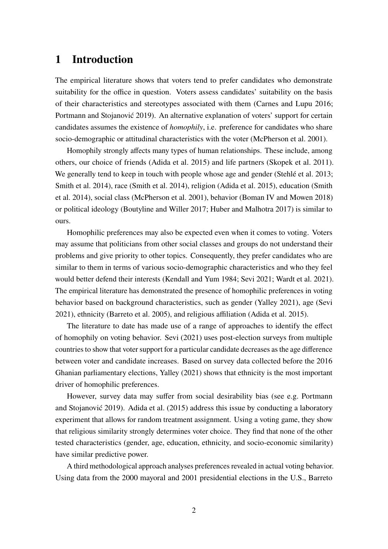#### **1 Introduction**

The empirical literature shows that voters tend to prefer candidates who demonstrate suitability for the office in question. Voters assess candidates' suitability on the basis of their characteristics and stereotypes associated with them (Carnes and Lupu 2016; Portmann and Stojanović 2019). An alternative explanation of voters' support for certain candidates assumes the existence of *homophily*, i.e. preference for candidates who share socio-demographic or attitudinal characteristics with the voter (McPherson et al. 2001).

Homophily strongly affects many types of human relationships. These include, among others, our choice of friends (Adida et al. 2015) and life partners (Skopek et al. 2011). We generally tend to keep in touch with people whose age and gender (Stehlé et al. 2013; Smith et al. 2014), race (Smith et al. 2014), religion (Adida et al. 2015), education (Smith et al. 2014), social class (McPherson et al. 2001), behavior (Boman IV and Mowen 2018) or political ideology (Boutyline and Willer 2017; Huber and Malhotra 2017) is similar to ours.

Homophilic preferences may also be expected even when it comes to voting. Voters may assume that politicians from other social classes and groups do not understand their problems and give priority to other topics. Consequently, they prefer candidates who are similar to them in terms of various socio-demographic characteristics and who they feel would better defend their interests (Kendall and Yum 1984; Sevi 2021; Wardt et al. 2021). The empirical literature has demonstrated the presence of homophilic preferences in voting behavior based on background characteristics, such as gender (Yalley 2021), age (Sevi 2021), ethnicity (Barreto et al. 2005), and religious affiliation (Adida et al. 2015).

The literature to date has made use of a range of approaches to identify the effect of homophily on voting behavior. Sevi (2021) uses post-election surveys from multiple countries to show that voter support for a particular candidate decreases as the age difference between voter and candidate increases. Based on survey data collected before the 2016 Ghanian parliamentary elections, Yalley (2021) shows that ethnicity is the most important driver of homophilic preferences.

However, survey data may suffer from social desirability bias (see e.g. Portmann and Stojanović 2019). Adida et al. (2015) address this issue by conducting a laboratory experiment that allows for random treatment assignment. Using a voting game, they show that religious similarity strongly determines voter choice. They find that none of the other tested characteristics (gender, age, education, ethnicity, and socio-economic similarity) have similar predictive power.

A third methodological approach analyses preferences revealed in actual voting behavior. Using data from the 2000 mayoral and 2001 presidential elections in the U.S., Barreto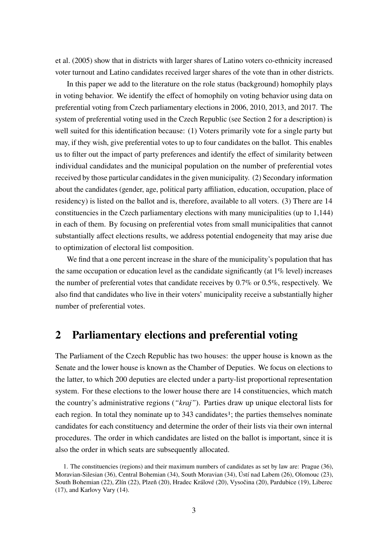et al. (2005) show that in districts with larger shares of Latino voters co-ethnicity increased voter turnout and Latino candidates received larger shares of the vote than in other districts.

In this paper we add to the literature on the role status (background) homophily plays in voting behavior. We identify the effect of homophily on voting behavior using data on preferential voting from Czech parliamentary elections in 2006, 2010, 2013, and 2017. The system of preferential voting used in the Czech Republic (see Section 2 for a description) is well suited for this identification because: (1) Voters primarily vote for a single party but may, if they wish, give preferential votes to up to four candidates on the ballot. This enables us to filter out the impact of party preferences and identify the effect of similarity between individual candidates and the municipal population on the number of preferential votes received by those particular candidates in the given municipality. (2) Secondary information about the candidates (gender, age, political party affiliation, education, occupation, place of residency) is listed on the ballot and is, therefore, available to all voters. (3) There are 14 constituencies in the Czech parliamentary elections with many municipalities (up to 1,144) in each of them. By focusing on preferential votes from small municipalities that cannot substantially affect elections results, we address potential endogeneity that may arise due to optimization of electoral list composition.

We find that a one percent increase in the share of the municipality's population that has the same occupation or education level as the candidate significantly (at 1% level) increases the number of preferential votes that candidate receives by 0.7% or 0.5%, respectively. We also find that candidates who live in their voters' municipality receive a substantially higher number of preferential votes.

#### **2 Parliamentary elections and preferential voting**

The Parliament of the Czech Republic has two houses: the upper house is known as the Senate and the lower house is known as the Chamber of Deputies. We focus on elections to the latter, to which 200 deputies are elected under a party-list proportional representation system. For these elections to the lower house there are 14 constituencies, which match the country's administrative regions (*"kraj"*). Parties draw up unique electoral lists for each region. In total they nominate up to 343 candidates<sup>1</sup>; the parties themselves nominate candidates for each constituency and determine the order of their lists via their own internal procedures. The order in which candidates are listed on the ballot is important, since it is also the order in which seats are subsequently allocated.

<sup>1.</sup> The constituencies (regions) and their maximum numbers of candidates as set by law are: Prague (36), Moravian-Silesian (36), Central Bohemian (34), South Moravian (34), Ústí nad Labem (26), Olomouc (23), South Bohemian (22), Zlín (22), Plzeň (20), Hradec Králové (20), Vysočina (20), Pardubice (19), Liberec (17), and Karlovy Vary (14).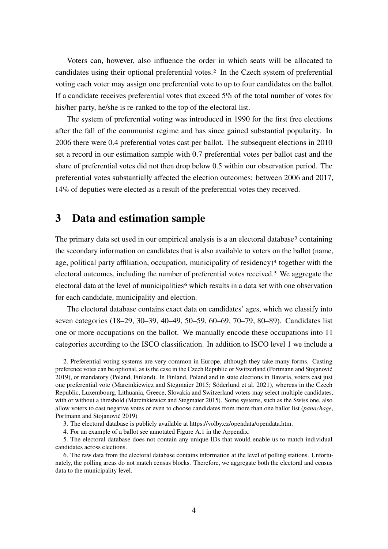Voters can, however, also influence the order in which seats will be allocated to candidates using their optional preferential votes.2 In the Czech system of preferential voting each voter may assign one preferential vote to up to four candidates on the ballot. If a candidate receives preferential votes that exceed 5% of the total number of votes for his/her party, he/she is re-ranked to the top of the electoral list.

The system of preferential voting was introduced in 1990 for the first free elections after the fall of the communist regime and has since gained substantial popularity. In 2006 there were 0.4 preferential votes cast per ballot. The subsequent elections in 2010 set a record in our estimation sample with 0.7 preferential votes per ballot cast and the share of preferential votes did not then drop below 0.5 within our observation period. The preferential votes substantially affected the election outcomes: between 2006 and 2017, 14% of deputies were elected as a result of the preferential votes they received.

#### **3 Data and estimation sample**

The primary data set used in our empirical analysis is a an electoral database<sup>3</sup> containing the secondary information on candidates that is also available to voters on the ballot (name, age, political party affiliation, occupation, municipality of residency)4 together with the electoral outcomes, including the number of preferential votes received.5 We aggregate the electoral data at the level of municipalities<sup>6</sup> which results in a data set with one observation for each candidate, municipality and election.

The electoral database contains exact data on candidates' ages, which we classify into seven categories (18–29, 30–39, 40–49, 50–59, 60–69, 70–79, 80–89). Candidates list one or more occupations on the ballot. We manually encode these occupations into 11 categories according to the ISCO classification. In addition to ISCO level 1 we include a

2. Preferential voting systems are very common in Europe, although they take many forms. Casting preference votes can be optional, as is the case in the Czech Republic or Switzerland (Portmann and Stojanović 2019), or mandatory (Poland, Finland). In Finland, Poland and in state elections in Bavaria, voters cast just one preferential vote (Marcinkiewicz and Stegmaier 2015; Söderlund et al. 2021), whereas in the Czech Republic, Luxembourg, Lithuania, Greece, Slovakia and Switzerland voters may select multiple candidates, with or without a threshold (Marcinkiewicz and Stegmaier 2015). Some systems, such as the Swiss one, also allow voters to cast negative votes or even to choose candidates from more than one ballot list (*panachage*, Portmann and Stojanović 2019)

3. The electoral database is publicly available at https://volby.cz/opendata/opendata.htm.

4. For an example of a ballot see annotated Figure A.1 in the Appendix.

5. The electoral database does not contain any unique IDs that would enable us to match individual candidates across elections.

6. The raw data from the electoral database contains information at the level of polling stations. Unfortunately, the polling areas do not match census blocks. Therefore, we aggregate both the electoral and census data to the municipality level.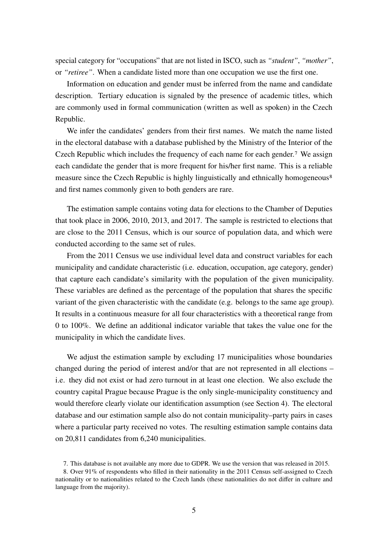special category for "occupations" that are not listed in ISCO, such as *"student"*, *"mother"*, or *"retiree"*. When a candidate listed more than one occupation we use the first one.

Information on education and gender must be inferred from the name and candidate description. Tertiary education is signaled by the presence of academic titles, which are commonly used in formal communication (written as well as spoken) in the Czech Republic.

We infer the candidates' genders from their first names. We match the name listed in the electoral database with a database published by the Ministry of the Interior of the Czech Republic which includes the frequency of each name for each gender.7 We assign each candidate the gender that is more frequent for his/her first name. This is a reliable measure since the Czech Republic is highly linguistically and ethnically homogeneous<sup>8</sup> and first names commonly given to both genders are rare.

The estimation sample contains voting data for elections to the Chamber of Deputies that took place in 2006, 2010, 2013, and 2017. The sample is restricted to elections that are close to the 2011 Census, which is our source of population data, and which were conducted according to the same set of rules.

From the 2011 Census we use individual level data and construct variables for each municipality and candidate characteristic (i.e. education, occupation, age category, gender) that capture each candidate's similarity with the population of the given municipality. These variables are defined as the percentage of the population that shares the specific variant of the given characteristic with the candidate (e.g. belongs to the same age group). It results in a continuous measure for all four characteristics with a theoretical range from 0 to 100%. We define an additional indicator variable that takes the value one for the municipality in which the candidate lives.

We adjust the estimation sample by excluding 17 municipalities whose boundaries changed during the period of interest and/or that are not represented in all elections – i.e. they did not exist or had zero turnout in at least one election. We also exclude the country capital Prague because Prague is the only single-municipality constituency and would therefore clearly violate our identification assumption (see Section 4). The electoral database and our estimation sample also do not contain municipality–party pairs in cases where a particular party received no votes. The resulting estimation sample contains data on 20,811 candidates from 6,240 municipalities.

<sup>7.</sup> This database is not available any more due to GDPR. We use the version that was released in 2015.

<sup>8.</sup> Over 91% of respondents who filled in their nationality in the 2011 Census self-assigned to Czech nationality or to nationalities related to the Czech lands (these nationalities do not differ in culture and language from the majority).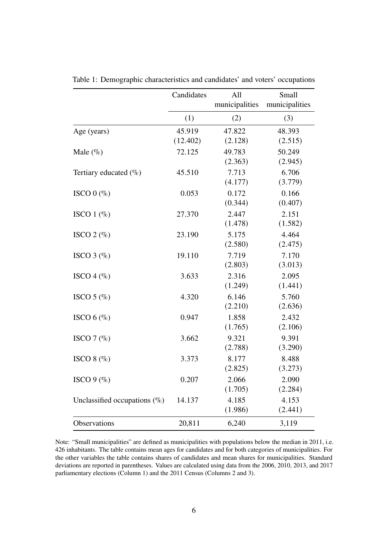|                                  | Candidates | All            | Small          |
|----------------------------------|------------|----------------|----------------|
|                                  |            | municipalities | municipalities |
|                                  | (1)        | (2)            | (3)            |
| Age (years)                      | 45.919     | 47.822         | 48.393         |
|                                  | (12.402)   | (2.128)        | (2.515)        |
| Male $(\%)$                      | 72.125     | 49.783         | 50.249         |
|                                  |            | (2.363)        | (2.945)        |
| Tertiary educated (%)            | 45.510     | 7.713          | 6.706          |
|                                  |            | (4.177)        | (3.779)        |
| ISCO $0 \, (\%)$                 | 0.053      | 0.172          | 0.166          |
|                                  |            | (0.344)        | (0.407)        |
| ISCO $1$ (%)                     | 27.370     | 2.447          | 2.151          |
|                                  |            | (1.478)        | (1.582)        |
| ISCO $2 \left( \% \right)$       | 23.190     | 5.175          | 4.464          |
|                                  |            | (2.580)        | (2.475)        |
| ISCO $3$ (%)                     | 19.110     | 7.719          | 7.170          |
|                                  |            | (2.803)        | (3.013)        |
| ISCO 4 $(\%$                     | 3.633      | 2.316          | 2.095          |
|                                  |            | (1.249)        | (1.441)        |
| ISCO $5$ (%)                     | 4.320      | 6.146          | 5.760          |
|                                  |            | (2.210)        | (2.636)        |
| ISCO $6$ (%)                     | 0.947      | 1.858          | 2.432          |
|                                  |            | (1.765)        | (2.106)        |
| ISCO $7$ $\left(\% \right)$      | 3.662      | 9.321          | 9.391          |
|                                  |            | (2.788)        | (3.290)        |
| ISCO 8 $(\%$                     | 3.373      | 8.177          | 8.488          |
|                                  |            | (2.825)        | (3.273)        |
| ISCO $9$ (%)                     | 0.207      | 2.066          | 2.090          |
|                                  |            | (1.705)        | (2.284)        |
| Unclassified occupations $(\% )$ | 14.137     | 4.185          | 4.153          |
|                                  |            | (1.986)        | (2.441)        |
| Observations                     | 20,811     | 6,240          | 3,119          |

Table 1: Demographic characteristics and candidates' and voters' occupations

Note: "Small municipalities" are defined as municipalities with populations below the median in 2011, i.e. 426 inhabitants. The table contains mean ages for candidates and for both categories of municipalities. For the other variables the table contains shares of candidates and mean shares for municipalities. Standard deviations are reported in parentheses. Values are calculated using data from the 2006, 2010, 2013, and 2017 parliamentary elections (Column 1) and the 2011 Census (Columns 2 and 3).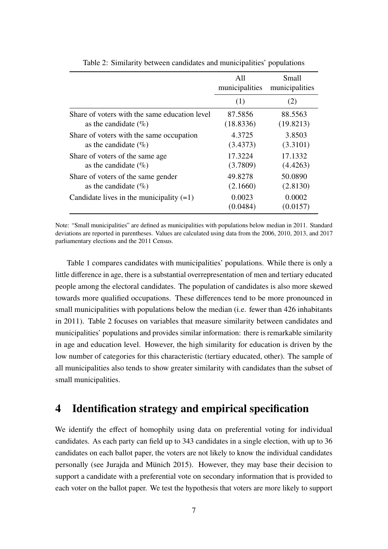|                                               | All<br>municipalities | Small<br>municipalities |
|-----------------------------------------------|-----------------------|-------------------------|
|                                               | (1)                   | (2)                     |
| Share of voters with the same education level | 87.5856               | 88.5563                 |
| as the candidate $(\% )$                      | (18.8336)             | (19.8213)               |
| Share of voters with the same occupation      | 4.3725                | 3.8503                  |
| as the candidate $(\% )$                      | (3.4373)              | (3.3101)                |
| Share of voters of the same age.              | 17.3224               | 17.1332                 |
| as the candidate $(\%$ )                      | (3.7809)              | (4.4263)                |
| Share of voters of the same gender            | 49.8278               | 50.0890                 |
| as the candidate $(\% )$                      | (2.1660)              | (2.8130)                |
| Candidate lives in the municipality $(=1)$    | 0.0023<br>(0.0484)    | 0.0002<br>(0.0157)      |

Table 2: Similarity between candidates and municipalities' populations

Note: "Small municipalities" are defined as municipalities with populations below median in 2011. Standard deviations are reported in parentheses. Values are calculated using data from the 2006, 2010, 2013, and 2017 parliamentary elections and the 2011 Census.

Table 1 compares candidates with municipalities' populations. While there is only a little difference in age, there is a substantial overrepresentation of men and tertiary educated people among the electoral candidates. The population of candidates is also more skewed towards more qualified occupations. These differences tend to be more pronounced in small municipalities with populations below the median (i.e. fewer than 426 inhabitants in 2011). Table 2 focuses on variables that measure similarity between candidates and municipalities' populations and provides similar information: there is remarkable similarity in age and education level. However, the high similarity for education is driven by the low number of categories for this characteristic (tertiary educated, other). The sample of all municipalities also tends to show greater similarity with candidates than the subset of small municipalities.

#### **4 Identification strategy and empirical specification**

We identify the effect of homophily using data on preferential voting for individual candidates. As each party can field up to 343 candidates in a single election, with up to 36 candidates on each ballot paper, the voters are not likely to know the individual candidates personally (see Jurajda and Münich 2015). However, they may base their decision to support a candidate with a preferential vote on secondary information that is provided to each voter on the ballot paper. We test the hypothesis that voters are more likely to support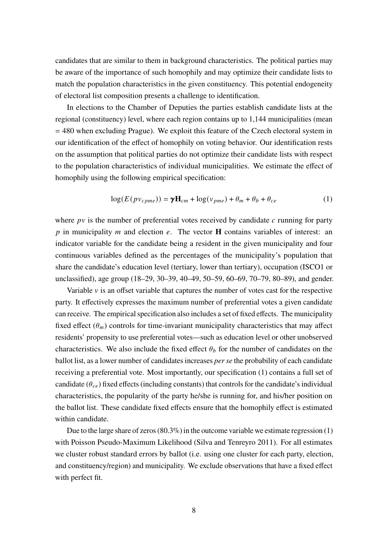candidates that are similar to them in background characteristics. The political parties may be aware of the importance of such homophily and may optimize their candidate lists to match the population characteristics in the given constituency. This potential endogeneity of electoral list composition presents a challenge to identification.

In elections to the Chamber of Deputies the parties establish candidate lists at the regional (constituency) level, where each region contains up to 1,144 municipalities (mean = 480 when excluding Prague). We exploit this feature of the Czech electoral system in our identification of the effect of homophily on voting behavior. Our identification rests on the assumption that political parties do not optimize their candidate lists with respect to the population characteristics of individual municipalities. We estimate the effect of homophily using the following empirical specification:

$$
log(E(pv_{cpme})) = \gamma \mathbf{H}_{cm} + log(v_{pme}) + \theta_m + \theta_b + \theta_{ce}
$$
 (1)

where  $pv$  is the number of preferential votes received by candidate  $c$  running for party p in municipality *m* and election  $e$ . The vector **H** contains variables of interest: an indicator variable for the candidate being a resident in the given municipality and four continuous variables defined as the percentages of the municipality's population that share the candidate's education level (tertiary, lower than tertiary), occupation (ISCO1 or unclassified), age group (18–29, 30–39, 40–49, 50–59, 60–69, 70–79, 80–89), and gender.

Variable  $\nu$  is an offset variable that captures the number of votes cast for the respective party. It effectively expresses the maximum number of preferential votes a given candidate can receive. The empirical specification also includes a set of fixed effects. The municipality fixed effect  $(\theta_m)$  controls for time-invariant municipality characteristics that may affect residents' propensity to use preferential votes—such as education level or other unobserved characteristics. We also include the fixed effect  $\theta_b$  for the number of candidates on the ballot list, as a lower number of candidates increases *per se* the probability of each candidate receiving a preferential vote. Most importantly, our specification (1) contains a full set of candidate  $(\theta_{ce})$  fixed effects (including constants) that controls for the candidate's individual characteristics, the popularity of the party he/she is running for, and his/her position on the ballot list. These candidate fixed effects ensure that the homophily effect is estimated within candidate.

Due to the large share of zeros (80.3%) in the outcome variable we estimate regression (1) with Poisson Pseudo-Maximum Likelihood (Silva and Tenreyro 2011). For all estimates we cluster robust standard errors by ballot (i.e. using one cluster for each party, election, and constituency/region) and municipality. We exclude observations that have a fixed effect with perfect fit.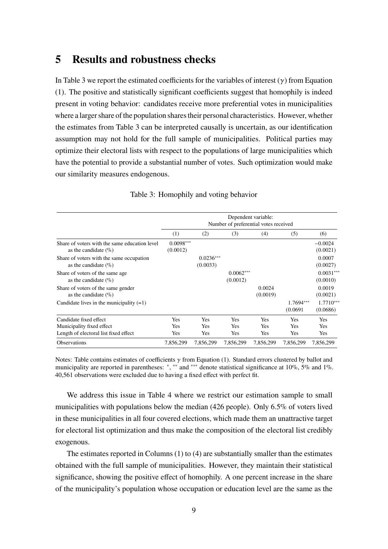#### **5 Results and robustness checks**

In Table 3 we report the estimated coefficients for the variables of interest  $(\gamma)$  from Equation (1). The positive and statistically significant coefficients suggest that homophily is indeed present in voting behavior: candidates receive more preferential votes in municipalities where a larger share of the population shares their personal characteristics. However, whether the estimates from Table 3 can be interpreted causally is uncertain, as our identification assumption may not hold for the full sample of municipalities. Political parties may optimize their electoral lists with respect to the populations of large municipalities which have the potential to provide a substantial number of votes. Such optimization would make our similarity measures endogenous.

|                                                                           | Dependent variable:<br>Number of preferential votes received |                         |                         |                    |                       |                         |
|---------------------------------------------------------------------------|--------------------------------------------------------------|-------------------------|-------------------------|--------------------|-----------------------|-------------------------|
|                                                                           | (1)                                                          | (2)                     | (3)                     | (4)                | (5)                   | (6)                     |
| Share of voters with the same education level<br>as the candidate $(\% )$ | $0.0098***$<br>(0.0012)                                      |                         |                         |                    |                       | $-0.0024$<br>(0.0021)   |
| Share of voters with the same occupation<br>as the candidate $(\% )$      |                                                              | $0.0236***$<br>(0.0033) |                         |                    |                       | 0.0007<br>(0.0027)      |
| Share of voters of the same age<br>as the candidate $(\% )$               |                                                              |                         | $0.0062***$<br>(0.0012) |                    |                       | $0.0031***$<br>(0.0010) |
| Share of voters of the same gender<br>as the candidate $(\% )$            |                                                              |                         |                         | 0.0024<br>(0.0019) |                       | 0.0019<br>(0.0021)      |
| Candidate lives in the municipality $(=1)$                                |                                                              |                         |                         |                    | 1.7694***<br>(0.0691) | $1.7710***$<br>(0.0686) |
| Candidate fixed effect                                                    | <b>Yes</b>                                                   | <b>Yes</b>              | Yes                     | Yes                | Yes                   | Yes                     |
| Municipality fixed effect                                                 | Yes                                                          | <b>Yes</b>              | Yes                     | Yes                | <b>Yes</b>            | <b>Yes</b>              |
| Length of electoral list fixed effect                                     | Yes                                                          | Yes                     | Yes                     | <b>Yes</b>         | <b>Yes</b>            | Yes                     |
| <b>Observations</b>                                                       | 7,856,299                                                    | 7,856,299               | 7,856,299               | 7,856,299          | 7,856,299             | 7,856,299               |

#### Table 3: Homophily and voting behavior

Notes: Table contains estimates of coefficients  $\gamma$  from Equation (1). Standard errors clustered by ballot and municipality are reported in parentheses: \*, \*\* and \*\*\* denote statistical significance at 10%, 5% and 1%. 40,561 observations were excluded due to having a fixed effect with perfect fit.

We address this issue in Table 4 where we restrict our estimation sample to small municipalities with populations below the median (426 people). Only 6.5% of voters lived in these municipalities in all four covered elections, which made them an unattractive target for electoral list optimization and thus make the composition of the electoral list credibly exogenous.

The estimates reported in Columns (1) to (4) are substantially smaller than the estimates obtained with the full sample of municipalities. However, they maintain their statistical significance, showing the positive effect of homophily. A one percent increase in the share of the municipality's population whose occupation or education level are the same as the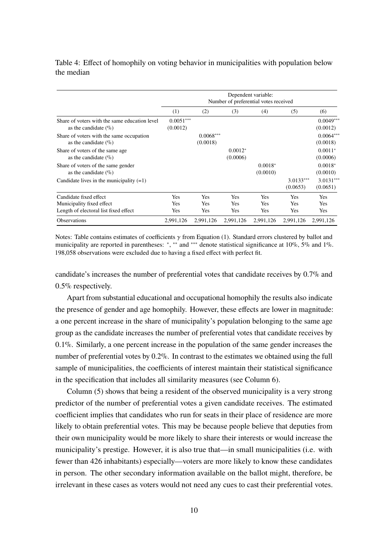|                                                                           | Dependent variable:<br>Number of preferential votes received |                         |                       |                       |                         |                         |
|---------------------------------------------------------------------------|--------------------------------------------------------------|-------------------------|-----------------------|-----------------------|-------------------------|-------------------------|
|                                                                           | (1)                                                          | (2)                     | (3)                   | (4)                   | (5)                     | (6)                     |
| Share of voters with the same education level<br>as the candidate $(\% )$ | $0.0051***$<br>(0.0012)                                      |                         |                       |                       |                         | $0.0049***$<br>(0.0012) |
| Share of voters with the same occupation<br>as the candidate $(\% )$      |                                                              | $0.0068***$<br>(0.0018) |                       |                       |                         | $0.0064***$<br>(0.0018) |
| Share of voters of the same age<br>as the candidate $(\% )$               |                                                              |                         | $0.0012*$<br>(0.0006) |                       |                         | $0.0011*$<br>(0.0006)   |
| Share of voters of the same gender<br>as the candidate $(\% )$            |                                                              |                         |                       | $0.0018*$<br>(0.0010) |                         | $0.0018*$<br>(0.0010)   |
| Candidate lives in the municipality $(=1)$                                |                                                              |                         |                       |                       | $3.0133***$<br>(0.0653) | $3.0131***$<br>(0.0651) |
| Candidate fixed effect                                                    | <b>Yes</b>                                                   | <b>Yes</b>              | Yes                   | <b>Yes</b>            | <b>Yes</b>              | <b>Yes</b>              |
| Municipality fixed effect                                                 | Yes                                                          | <b>Yes</b>              | Yes                   | <b>Yes</b>            | <b>Yes</b>              | <b>Yes</b>              |
| Length of electoral list fixed effect                                     | Yes                                                          | Yes                     | Yes                   | Yes                   | Yes                     | Yes                     |
| <b>Observations</b>                                                       | 2,991,126                                                    | 2.991.126               | 2,991,126             | 2,991,126             | 2,991,126               | 2.991.126               |

#### Table 4: Effect of homophily on voting behavior in municipalities with population below the median

Notes: Table contains estimates of coefficients  $\gamma$  from Equation (1). Standard errors clustered by ballot and municipality are reported in parentheses: \*, \*\* and \*\*\* denote statistical significance at 10%, 5% and 1%. 198,058 observations were excluded due to having a fixed effect with perfect fit.

candidate's increases the number of preferential votes that candidate receives by 0.7% and 0.5% respectively.

Apart from substantial educational and occupational homophily the results also indicate the presence of gender and age homophily. However, these effects are lower in magnitude: a one percent increase in the share of municipality's population belonging to the same age group as the candidate increases the number of preferential votes that candidate receives by 0.1%. Similarly, a one percent increase in the population of the same gender increases the number of preferential votes by 0.2%. In contrast to the estimates we obtained using the full sample of municipalities, the coefficients of interest maintain their statistical significance in the specification that includes all similarity measures (see Column 6).

Column (5) shows that being a resident of the observed municipality is a very strong predictor of the number of preferential votes a given candidate receives. The estimated coefficient implies that candidates who run for seats in their place of residence are more likely to obtain preferential votes. This may be because people believe that deputies from their own municipality would be more likely to share their interests or would increase the municipality's prestige. However, it is also true that—in small municipalities (i.e. with fewer than 426 inhabitants) especially—voters are more likely to know these candidates in person. The other secondary information available on the ballot might, therefore, be irrelevant in these cases as voters would not need any cues to cast their preferential votes.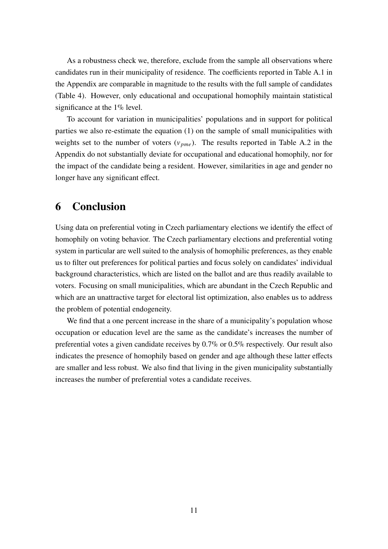As a robustness check we, therefore, exclude from the sample all observations where candidates run in their municipality of residence. The coefficients reported in Table A.1 in the Appendix are comparable in magnitude to the results with the full sample of candidates (Table 4). However, only educational and occupational homophily maintain statistical significance at the 1% level.

To account for variation in municipalities' populations and in support for political parties we also re-estimate the equation (1) on the sample of small municipalities with weights set to the number of voters  $(v_{\text{pme}})$ . The results reported in Table A.2 in the Appendix do not substantially deviate for occupational and educational homophily, nor for the impact of the candidate being a resident. However, similarities in age and gender no longer have any significant effect.

#### **6 Conclusion**

Using data on preferential voting in Czech parliamentary elections we identify the effect of homophily on voting behavior. The Czech parliamentary elections and preferential voting system in particular are well suited to the analysis of homophilic preferences, as they enable us to filter out preferences for political parties and focus solely on candidates' individual background characteristics, which are listed on the ballot and are thus readily available to voters. Focusing on small municipalities, which are abundant in the Czech Republic and which are an unattractive target for electoral list optimization, also enables us to address the problem of potential endogeneity.

We find that a one percent increase in the share of a municipality's population whose occupation or education level are the same as the candidate's increases the number of preferential votes a given candidate receives by 0.7% or 0.5% respectively. Our result also indicates the presence of homophily based on gender and age although these latter effects are smaller and less robust. We also find that living in the given municipality substantially increases the number of preferential votes a candidate receives.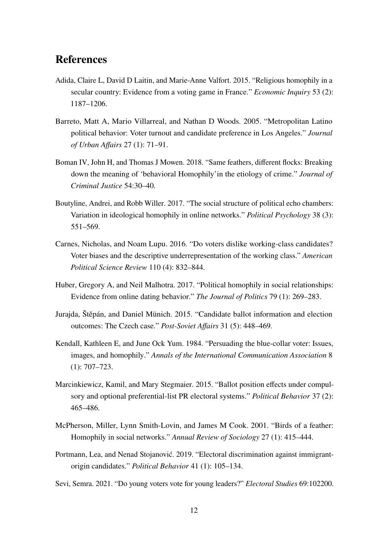#### **References**

- Adida, Claire L, David D Laitin, and Marie-Anne Valfort. 2015. "Religious homophily in a secular country: Evidence from a voting game in France." *Economic Inquiry* 53 (2): 1187–1206.
- Barreto, Matt A, Mario Villarreal, and Nathan D Woods. 2005. "Metropolitan Latino political behavior: Voter turnout and candidate preference in Los Angeles." *Journal of Urban Affairs* 27 (1): 71–91.
- Boman IV, John H, and Thomas J Mowen. 2018. "Same feathers, different flocks: Breaking down the meaning of 'behavioral Homophily'in the etiology of crime." *Journal of Criminal Justice* 54:30–40.
- Boutyline, Andrei, and Robb Willer. 2017. "The social structure of political echo chambers: Variation in ideological homophily in online networks." *Political Psychology* 38 (3): 551–569.
- Carnes, Nicholas, and Noam Lupu. 2016. "Do voters dislike working-class candidates? Voter biases and the descriptive underrepresentation of the working class." *American Political Science Review* 110 (4): 832–844.
- Huber, Gregory A, and Neil Malhotra. 2017. "Political homophily in social relationships: Evidence from online dating behavior." *The Journal of Politics* 79 (1): 269–283.
- Jurajda, Štěpán, and Daniel Münich. 2015. "Candidate ballot information and election outcomes: The Czech case." *Post-Soviet Affairs* 31 (5): 448–469.
- Kendall, Kathleen E, and June Ock Yum. 1984. "Persuading the blue-collar voter: Issues, images, and homophily." *Annals of the International Communication Association* 8 (1): 707–723.
- Marcinkiewicz, Kamil, and Mary Stegmaier. 2015. "Ballot position effects under compulsory and optional preferential-list PR electoral systems." *Political Behavior* 37 (2): 465–486.
- McPherson, Miller, Lynn Smith-Lovin, and James M Cook. 2001. "Birds of a feather: Homophily in social networks." *Annual Review of Sociology* 27 (1): 415–444.
- Portmann, Lea, and Nenad Stojanović. 2019. "Electoral discrimination against immigrantorigin candidates." *Political Behavior* 41 (1): 105–134.
- Sevi, Semra. 2021. "Do young voters vote for young leaders?" *Electoral Studies* 69:102200.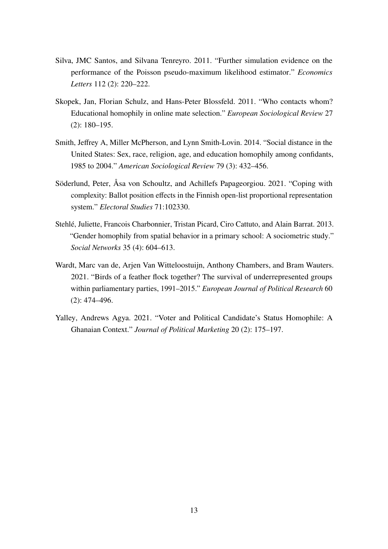- Silva, JMC Santos, and Silvana Tenreyro. 2011. "Further simulation evidence on the performance of the Poisson pseudo-maximum likelihood estimator." *Economics Letters* 112 (2): 220–222.
- Skopek, Jan, Florian Schulz, and Hans-Peter Blossfeld. 2011. "Who contacts whom? Educational homophily in online mate selection." *European Sociological Review* 27 (2): 180–195.
- Smith, Jeffrey A, Miller McPherson, and Lynn Smith-Lovin. 2014. "Social distance in the United States: Sex, race, religion, age, and education homophily among confidants, 1985 to 2004." *American Sociological Review* 79 (3): 432–456.
- Söderlund, Peter, Åsa von Schoultz, and Achillefs Papageorgiou. 2021. "Coping with complexity: Ballot position effects in the Finnish open-list proportional representation system." *Electoral Studies* 71:102330.
- Stehlé, Juliette, Francois Charbonnier, Tristan Picard, Ciro Cattuto, and Alain Barrat. 2013. "Gender homophily from spatial behavior in a primary school: A sociometric study." *Social Networks* 35 (4): 604–613.
- Wardt, Marc van de, Arjen Van Witteloostuijn, Anthony Chambers, and Bram Wauters. 2021. "Birds of a feather flock together? The survival of underrepresented groups within parliamentary parties, 1991–2015." *European Journal of Political Research* 60 (2): 474–496.
- Yalley, Andrews Agya. 2021. "Voter and Political Candidate's Status Homophile: A Ghanaian Context." *Journal of Political Marketing* 20 (2): 175–197.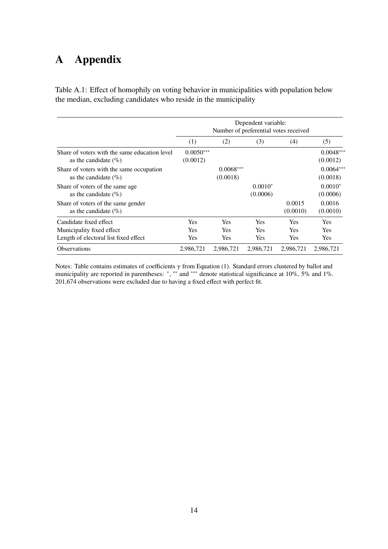### **A Appendix**

Table A.1: Effect of homophily on voting behavior in municipalities with population below the median, excluding candidates who reside in the municipality

|                                                                                              | (1)                                    | (2)                                    | (3)                                    | (4)                                    | (5)                             |
|----------------------------------------------------------------------------------------------|----------------------------------------|----------------------------------------|----------------------------------------|----------------------------------------|---------------------------------|
| Share of voters with the same education level<br>as the candidate $(\% )$                    | $0.0050***$<br>(0.0012)                |                                        |                                        |                                        | $0.0048***$<br>(0.0012)         |
| Share of voters with the same occupation<br>as the candidate $(\% )$                         |                                        | $0.0068***$<br>(0.0018)                |                                        |                                        | $0.0064***$<br>(0.0018)         |
| Share of voters of the same age.<br>as the candidate $(\% )$                                 |                                        |                                        | $0.0010*$<br>(0.0006)                  |                                        | $0.0010*$<br>(0.0006)           |
| Share of voters of the same gender<br>as the candidate $(\% )$                               |                                        |                                        |                                        | 0.0015<br>(0.0010)                     | 0.0016<br>(0.0010)              |
| Candidate fixed effect<br>Municipality fixed effect<br>Length of electoral list fixed effect | <b>Yes</b><br><b>Yes</b><br><b>Yes</b> | <b>Yes</b><br><b>Yes</b><br><b>Yes</b> | <b>Yes</b><br><b>Yes</b><br><b>Yes</b> | <b>Yes</b><br><b>Yes</b><br><b>Yes</b> | Yes<br><b>Yes</b><br><b>Yes</b> |
| Observations                                                                                 | 2,986,721                              | 2,986,721                              | 2,986,721                              | 2,986,721                              | 2,986,721                       |

Notes: Table contains estimates of coefficients  $\gamma$  from Equation (1). Standard errors clustered by ballot and municipality are reported in parentheses: \*, \*\* and \*\*\* denote statistical significance at 10%, 5% and 1%. 201,674 observations were excluded due to having a fixed effect with perfect fit.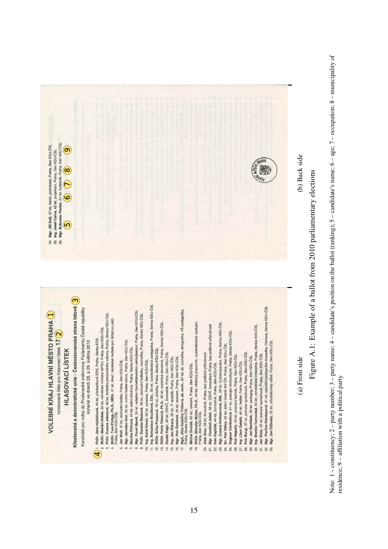

(a) Front side

(b) Back side (a) Front side  $\left($ a) Back side

Figure A.1: Example of a ballot from 2010 parliamentary elections Figure A.1: Example of a ballot from 2010 parliamentary elections Note:  $1$  – constituency;  $2$  – party number;  $3$  – party name;  $4$  – candidate's position on the ballot (ranking);  $5$  – candidate's name;  $6$  – age;  $7$  – occupation;  $8$  – municipality of Note: 1 – constituency; 2 – party number; 3 – party name; 4 – candidate's position on the ballot (ranking); 5 – candidate's name; 6 – age; 7 – occupation; 8 – municipality of residence; 9 - affiliation with a political party residence; 9 – affiliation with a political party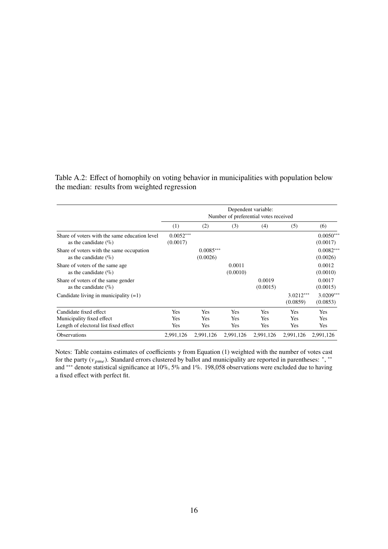Table A.2: Effect of homophily on voting behavior in municipalities with population below the median: results from weighted regression

|                                                                           | Dependent variable:<br>Number of preferential votes received |                         |                    |                    |                         |                         |
|---------------------------------------------------------------------------|--------------------------------------------------------------|-------------------------|--------------------|--------------------|-------------------------|-------------------------|
|                                                                           | (1)                                                          | (2)                     | (3)                | (4)                | (5)                     | (6)                     |
| Share of voters with the same education level<br>as the candidate $(\% )$ | $0.0052***$<br>(0.0017)                                      |                         |                    |                    |                         | $0.0050***$<br>(0.0017) |
| Share of voters with the same occupation<br>as the candidate $(\% )$      |                                                              | $0.0085***$<br>(0.0026) |                    |                    |                         | $0.0082***$<br>(0.0026) |
| Share of voters of the same age<br>as the candidate $(\% )$               |                                                              |                         | 0.0011<br>(0.0010) |                    |                         | 0.0012<br>(0.0010)      |
| Share of voters of the same gender<br>as the candidate $(\% )$            |                                                              |                         |                    | 0.0019<br>(0.0015) |                         | 0.0017<br>(0.0015)      |
| Candidate living in municipality $(=1)$                                   |                                                              |                         |                    |                    | $3.0212***$<br>(0.0859) | $3.0209***$<br>(0.0853) |
| Candidate fixed effect                                                    | Yes                                                          | <b>Yes</b>              | Yes                | <b>Yes</b>         | <b>Yes</b>              | <b>Yes</b>              |
| Municipality fixed effect                                                 | <b>Yes</b>                                                   | <b>Yes</b>              | <b>Yes</b>         | <b>Yes</b>         | <b>Yes</b>              | <b>Yes</b>              |
| Length of electoral list fixed effect                                     | Yes                                                          | Yes                     | Yes                | Yes                | Yes                     | Yes                     |
| <b>Observations</b>                                                       | 2.991.126                                                    | 2,991,126               | 2,991,126          | 2.991.126          | 2,991,126               | 2.991.126               |

Notes: Table contains estimates of coefficients  $\gamma$  from Equation (1) weighted with the number of votes cast for the party ( $v_{pme}$ ). Standard errors clustered by ballot and municipality are reported in parentheses: \*, \*\* and ∗∗∗ denote statistical significance at 10%, 5% and 1%. 198,058 observations were excluded due to having a fixed effect with perfect fit.